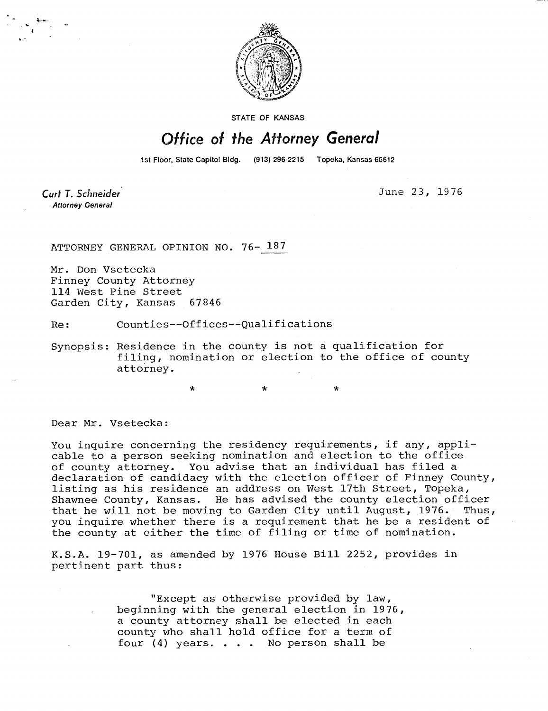

**STATE OF KANSAS** 

## Office of the Attorney General

1st Floor, State Capitol Bldg. (913) 296-2215 Topeka, Kansas 66612

Curt T. Schneider **Attorney General** 

June 23, 1976

ATTORNEY GENERAL OPINION NO. 76- 187

Mr. Don Vsetecka Finney County Attorney 114 West Pine Street<br>Garden City, Kansas 67846 Garden City, Kansas

Re: Counties--Offices--Qualifications

 $\ddot{\textbf{r}}$ 

Synopsis: Residence in the county is not a qualification for filing, nomination or election to the office of county attorney.

÷

 $\ddot{\textbf{r}}$ 

Dear Mr. Vsetecka:

You inquire concerning the residency requirements, if any, applicable to a person seeking nomination and election to the office of county attorney. You advise that an individual has filed a declaration of candidacy with the election officer of Finney County, listing as his residence an address on West 17th Street, Topeka, Shawnee County, Kansas. He has advised the county election officer that he will not be moving to Garden City until August, 1976. Thus, you inquire whether there is a requirement that he be a resident of the county at either the time of filing or time of nomination.

K.S.A. 19-701, as amended by 1976 House Bill 2252, provides in pertinent part thus:

> "Except as otherwise provided by law, beginning with the general election in 1976, a county attorney shall be elected in each county who shall hold office for a term of four  $(4)$  years. . . . No person shall be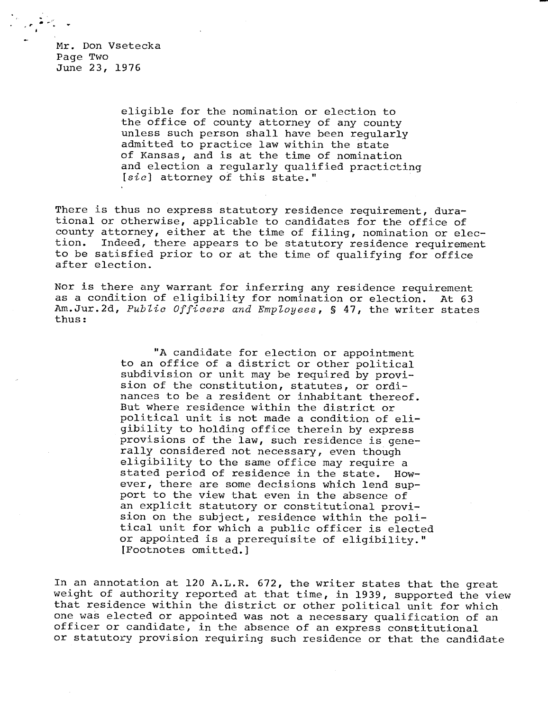Mr. Don Vsetecka Page Two June 23, 1976

> eligible for the nomination or election to the office of county attorney of any county unless such person shall have been regularly admitted to practice law within the state of Kansas, and is at the time of nomination and election a regularly qualified practicting [sic] attorney of this state."

There is thus no express statutory residence requirement, durational or otherwise, applicable to candidates for the office of county attorney, either at the time of filing, nomination or elec-<br>tion. Indeed, there appears to be statutory residence requirement Indeed, there appears to be statutory residence requirement to be satisfied prior to or at the time of qualifying for office after election.

Nor is there any warrant for inferring any residence requirement as a condition of eligibility for nomination or election. At 63 Am.Jur.2d, Public Officers and Employees, § 47, the writer states thus:

> "A candidate for election or appointment to an office of a district or other political subdivision or unit may be required by provision of the constitution, statutes, or ordinances to be a resident or inhabitant thereof. But where residence within the district or political unit is not made a condition of eligibility to holding office therein by express provisions of the law, such residence is generally considered not necessary, even though eligibility to the same office may require a stated period of residence in the state. However, there are some decisions which lend support to the view that even in the absence of an explicit statutory or constitutional provision on the subject, residence within the political unit for which a public officer is elected or appointed is a prerequisite of eligibility." [Footnotes omitted.]

In an annotation at 120 A.L.R. 672, the writer states that the great weight of authority reported at that time, in 1939, supported the view that residence within the district or other political unit for which one was elected or appointed was not a necessary qualification of an officer or candidate, in the absence of an express constitutional or statutory provision requiring such residence or that the candidate